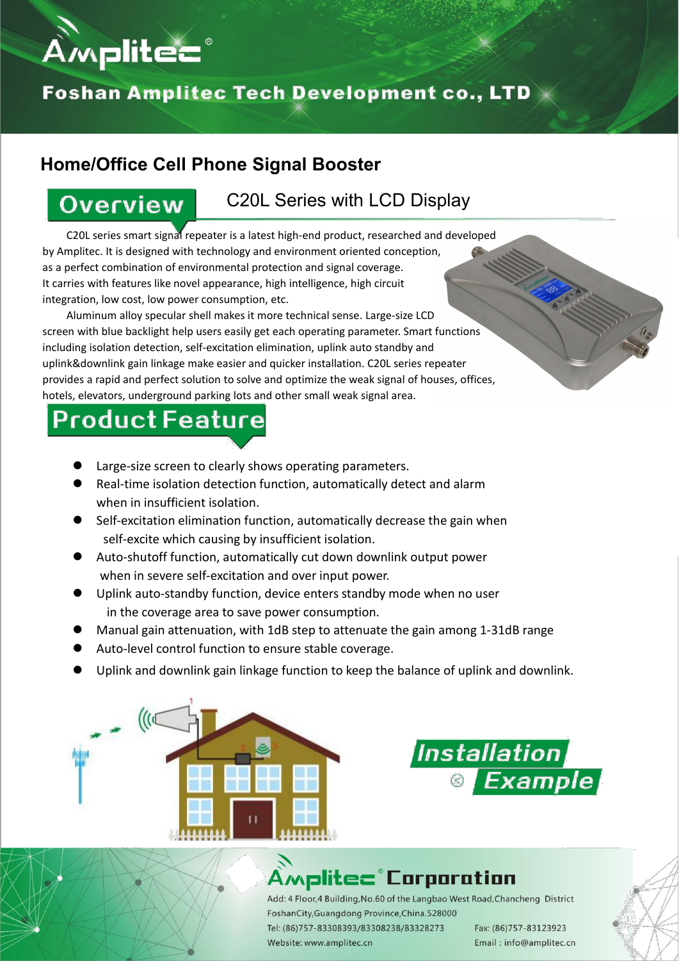

#### Foshan Amplitec Tech Development co., LTD  $\times$

#### **Home/Office Cell Phone Signal Booster**

#### **Overview**

#### C20L Series with LCD Display

C20L series smart signal repeater is a latest high-end product, researched and developed by Amplitec. It is designed with technology and environment oriented conception, as a perfect combination of environmental protection and signal coverage. It carries with features like novel appearance, high intelligence, high circuit integration, low cost, low power consumption, etc.

Aluminum alloy specular shell makes it more technical sense. Large-size LCD screen with blue backlight help users easily get each operating parameter. Smart functions including isolation detection, self-excitation elimination, uplink auto standby and uplink&downlink gain linkage make easier and quicker installation. C20L series repeater provides a rapid and perfect solution to solve and optimize the weak signal of houses, offices, hotels, elevators, underground parking lots and other small weak signal area.

## **Product Feature**

- Large-size screen to clearly shows operating parameters.
- Real-time isolation detection function, automatically detect and alarm when in insufficient isolation.
- Self-excitation elimination function, automatically decrease the gain when self-excite which causing by insufficient isolation.
- Auto-shutoff function, automatically cut down downlink output power when in severe self-excitation and over input power.
- Uplink auto-standby function, device enters standby mode when no user in the coverage area to save power consumption.
- Manual gain attenuation, with 1dB step to attenuate the gain among 1-31dB range
- Auto-level control function to ensure stable coverage.
- Uplink and downlink gain linkage function to keep the balance of uplink and downlink.





### Amplitec° Corporation

Add: 4 Floor, 4 Building, No.60 of the Langbao West Road, Chancheng District FoshanCity, Guangdong Province, China.528000

Tel: (86)757-83308393/83308238/83328273 Website: www.amplitec.cn

Fax: (86)757-83123923 Email: info@amplitec.cn